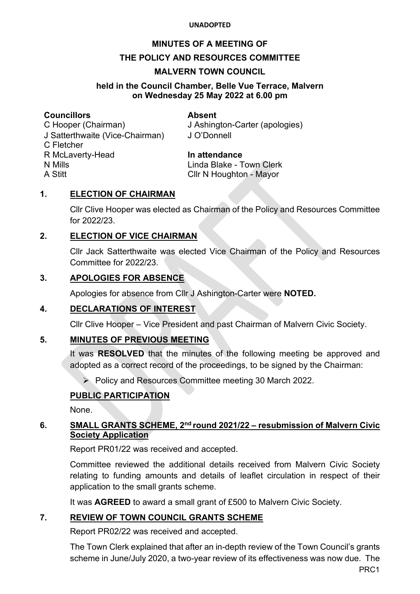#### **MINUTES OF A MEETING OF**

#### **THE POLICY AND RESOURCES COMMITTEE**

#### **MALVERN TOWN COUNCIL**

#### **held in the Council Chamber, Belle Vue Terrace, Malvern on Wednesday 25 May 2022 at 6.00 pm**

#### **Councillors Absent**

C Hooper (Chairman) J Ashington-Carter (apologies) J Satterthwaite (Vice-Chairman) J O'Donnell C Fletcher R McLaverty-Head **In attendance** N Mills Linda Blake - Town Clerk A Stitt **Cllr N** Houghton - Mayor

#### **1. ELECTION OF CHAIRMAN**

Cllr Clive Hooper was elected as Chairman of the Policy and Resources Committee for 2022/23.

#### **2. ELECTION OF VICE CHAIRMAN**

Cllr Jack Satterthwaite was elected Vice Chairman of the Policy and Resources Committee for 2022/23.

#### **3. APOLOGIES FOR ABSENCE**

Apologies for absence from Cllr J Ashington-Carter were **NOTED.**

# **4. DECLARATIONS OF INTEREST**

Cllr Clive Hooper – Vice President and past Chairman of Malvern Civic Society.

#### **5. MINUTES OF PREVIOUS MEETING**

It was **RESOLVED** that the minutes of the following meeting be approved and adopted as a correct record of the proceedings, to be signed by the Chairman:

Policy and Resources Committee meeting 30 March 2022.

# **PUBLIC PARTICIPATION**

None.

#### **6. SMALL GRANTS SCHEME, 2nd round 2021/22 – resubmission of Malvern Civic Society Application**

Report PR01/22 was received and accepted.

Committee reviewed the additional details received from Malvern Civic Society relating to funding amounts and details of leaflet circulation in respect of their application to the small grants scheme.

It was **AGREED** to award a small grant of £500 to Malvern Civic Society.

#### **7. REVIEW OF TOWN COUNCIL GRANTS SCHEME**

Report PR02/22 was received and accepted.

The Town Clerk explained that after an in-depth review of the Town Council's grants scheme in June/July 2020, a two-year review of its effectiveness was now due. The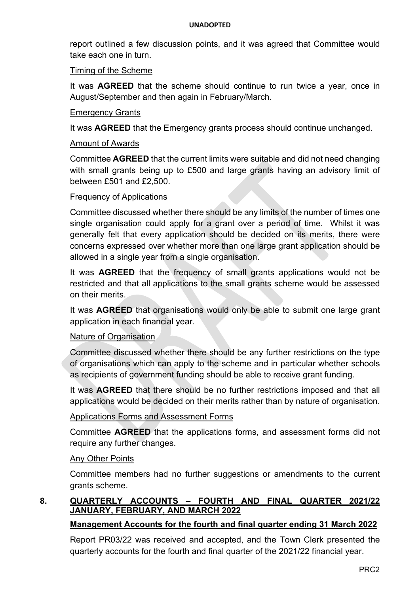report outlined a few discussion points, and it was agreed that Committee would take each one in turn.

#### Timing of the Scheme

It was **AGREED** that the scheme should continue to run twice a year, once in August/September and then again in February/March.

#### Emergency Grants

It was **AGREED** that the Emergency grants process should continue unchanged.

#### Amount of Awards

Committee **AGREED** that the current limits were suitable and did not need changing with small grants being up to £500 and large grants having an advisory limit of between £501 and £2,500.

#### Frequency of Applications

Committee discussed whether there should be any limits of the number of times one single organisation could apply for a grant over a period of time. Whilst it was generally felt that every application should be decided on its merits, there were concerns expressed over whether more than one large grant application should be allowed in a single year from a single organisation.

It was **AGREED** that the frequency of small grants applications would not be restricted and that all applications to the small grants scheme would be assessed on their merits.

It was **AGREED** that organisations would only be able to submit one large grant application in each financial year.

# Nature of Organisation

Committee discussed whether there should be any further restrictions on the type of organisations which can apply to the scheme and in particular whether schools as recipients of government funding should be able to receive grant funding.

It was **AGREED** that there should be no further restrictions imposed and that all applications would be decided on their merits rather than by nature of organisation.

# Applications Forms and Assessment Forms

Committee **AGREED** that the applications forms, and assessment forms did not require any further changes.

#### Any Other Points

Committee members had no further suggestions or amendments to the current grants scheme.

# **8. QUARTERLY ACCOUNTS – FOURTH AND FINAL QUARTER 2021/22 JANUARY, FEBRUARY, AND MARCH 2022**

# **Management Accounts for the fourth and final quarter ending 31 March 2022**

Report PR03/22 was received and accepted, and the Town Clerk presented the quarterly accounts for the fourth and final quarter of the 2021/22 financial year.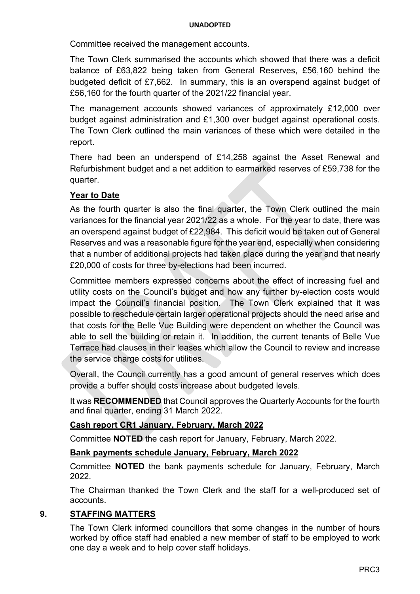Committee received the management accounts.

The Town Clerk summarised the accounts which showed that there was a deficit balance of £63,822 being taken from General Reserves, £56,160 behind the budgeted deficit of £7,662. In summary, this is an overspend against budget of £56,160 for the fourth quarter of the 2021/22 financial year.

The management accounts showed variances of approximately £12,000 over budget against administration and £1,300 over budget against operational costs. The Town Clerk outlined the main variances of these which were detailed in the report.

There had been an underspend of £14,258 against the Asset Renewal and Refurbishment budget and a net addition to earmarked reserves of £59,738 for the quarter.

# **Year to Date**

As the fourth quarter is also the final quarter, the Town Clerk outlined the main variances for the financial year 2021/22 as a whole. For the year to date, there was an overspend against budget of £22,984. This deficit would be taken out of General Reserves and was a reasonable figure for the year end, especially when considering that a number of additional projects had taken place during the year and that nearly £20,000 of costs for three by-elections had been incurred.

Committee members expressed concerns about the effect of increasing fuel and utility costs on the Council's budget and how any further by-election costs would impact the Council's financial position. The Town Clerk explained that it was possible to reschedule certain larger operational projects should the need arise and that costs for the Belle Vue Building were dependent on whether the Council was able to sell the building or retain it. In addition, the current tenants of Belle Vue Terrace had clauses in their leases which allow the Council to review and increase the service charge costs for utilities.

Overall, the Council currently has a good amount of general reserves which does provide a buffer should costs increase about budgeted levels.

It was **RECOMMENDED** that Council approves the Quarterly Accounts for the fourth and final quarter, ending 31 March 2022.

# **Cash report CR1 January, February, March 2022**

Committee **NOTED** the cash report for January, February, March 2022.

# **Bank payments schedule January, February, March 2022**

Committee **NOTED** the bank payments schedule for January, February, March 2022.

The Chairman thanked the Town Clerk and the staff for a well-produced set of accounts.

# **9. STAFFING MATTERS**

 The Town Clerk informed councillors that some changes in the number of hours worked by office staff had enabled a new member of staff to be employed to work one day a week and to help cover staff holidays.